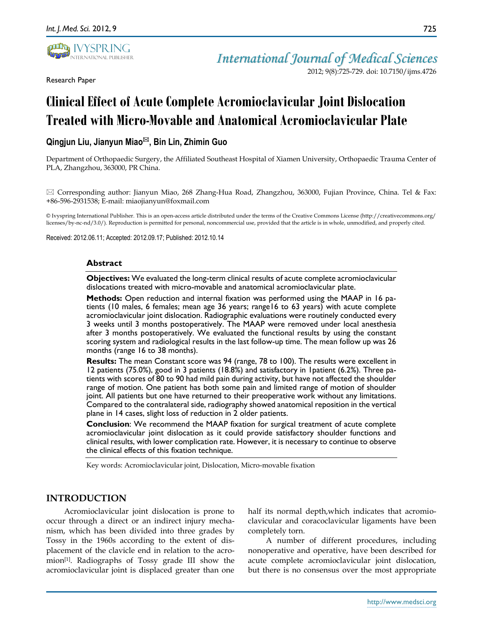

Research Paper

2012; 9(8):725-729. doi: 10.7150/ijms.4726

# **Clinical Effect of Acute Complete Acromioclavicular Joint Dislocation Treated with Micro-Movable and Anatomical Acromioclavicular Plate**

# **Qingjun Liu, Jianyun Miao, Bin Lin, Zhimin Guo**

Department of Orthopaedic Surgery, the Affiliated Southeast Hospital of Xiamen University, Orthopaedic Trauma Center of PLA, Zhangzhou, 363000, PR China.

 Corresponding author: Jianyun Miao, 268 Zhang-Hua Road, Zhangzhou, 363000, Fujian Province, China. Tel & Fax: +86-596-2931538; E-mail: miaojianyun@foxmail.com

© Ivyspring International Publisher. This is an open-access article distributed under the terms of the Creative Commons License (http://creativecommons.org/ licenses/by-nc-nd/3.0/). Reproduction is permitted for personal, noncommercial use, provided that the article is in whole, unmodified, and properly cited.

Received: 2012.06.11; Accepted: 2012.09.17; Published: 2012.10.14

#### **Abstract**

**Objectives:** We evaluated the long-term clinical results of acute complete acromioclavicular dislocations treated with micro-movable and anatomical acromioclavicular plate.

**Methods:** Open reduction and internal fixation was performed using the MAAP in 16 patients (10 males, 6 females; mean age 36 years; range16 to 63 years) with acute complete acromioclavicular joint dislocation. Radiographic evaluations were routinely conducted every 3 weeks until 3 months postoperatively. The MAAP were removed under local anesthesia after 3 months postoperatively. We evaluated the functional results by using the constant scoring system and radiological results in the last follow-up time. The mean follow up was 26 months (range 16 to 38 months).

**Results:** The mean Constant score was 94 (range, 78 to 100). The results were excellent in 12 patients (75.0%), good in 3 patients (18.8%) and satisfactory in 1patient (6.2%). Three patients with scores of 80 to 90 had mild pain during activity, but have not affected the shoulder range of motion. One patient has both some pain and limited range of motion of shoulder joint. All patients but one have returned to their preoperative work without any limitations. Compared to the contralateral side, radiography showed anatomical reposition in the vertical plane in 14 cases, slight loss of reduction in 2 older patients.

**Conclusion**: We recommend the MAAP fixation for surgical treatment of acute complete acromioclavicular joint dislocation as it could provide satisfactory shoulder functions and clinical results, with lower complication rate. However, it is necessary to continue to observe the clinical effects of this fixation technique.

Key words: Acromioclavicular joint, Dislocation, Micro-movable fixation

## **INTRODUCTION**

Acromioclavicular joint dislocation is prone to occur through a direct or an indirect injury mechanism, which has been divided into three grades by Tossy in the 1960s according to the extent of displacement of the clavicle end in relation to the acromion[1]. Radiographs of Tossy grade III show the acromioclavicular joint is displaced greater than one

half its normal depth,which indicates that acromioclavicular and coracoclavicular ligaments have been completely torn.

A number of different procedures, including nonoperative and operative, have been described for acute complete acromioclavicular joint dislocation, but there is no consensus over the most appropriate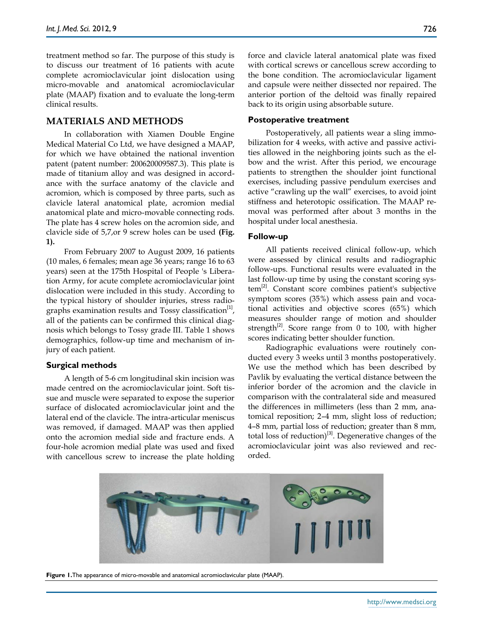treatment method so far. The purpose of this study is to discuss our treatment of 16 patients with acute complete acromioclavicular joint dislocation using micro-movable and anatomical acromioclavicular plate (MAAP) fixation and to evaluate the long-term clinical results.

## **MATERIALS AND METHODS**

In collaboration with Xiamen Double Engine Medical Material Co Ltd, we have designed a MAAP, for which we have obtained the national invention patent (patent number: 200620009587.3). This plate is made of titanium alloy and was designed in accordance with the surface anatomy of the clavicle and acromion, which is composed by three parts, such as clavicle lateral anatomical plate, acromion medial anatomical plate and micro-movable connecting rods. The plate has 4 screw holes on the acromion side, and clavicle side of 5,7,or 9 screw holes can be used **(Fig. 1).**

From February 2007 to August 2009, 16 patients (10 males, 6 females; mean age 36 years; range 16 to 63 years) seen at the 175th Hospital of People 's Liberation Army, for acute complete acromioclavicular joint dislocation were included in this study. According to the typical history of shoulder injuries, stress radiographs examination results and Tossy classification<sup>[1]</sup>, all of the patients can be confirmed this clinical diagnosis which belongs to Tossy grade III. Table 1 shows demographics, follow-up time and mechanism of injury of each patient.

#### **Surgical methods**

A length of 5-6 cm longitudinal skin incision was made centred on the acromioclavicular joint. Soft tissue and muscle were separated to expose the superior surface of dislocated acromioclavicular joint and the lateral end of the clavicle. The intra-articular meniscus was removed, if damaged. MAAP was then applied onto the acromion medial side and fracture ends. A four-hole acromion medial plate was used and fixed with cancellous screw to increase the plate holding

#### **Postoperative treatment**

Postoperatively, all patients wear a sling [immo](dict://key.0895DFE8DB67F9409DB285590D870EDD/immobilization)[bilization](dict://key.0895DFE8DB67F9409DB285590D870EDD/immobilization) for 4 weeks, with active and passive activities allowed in the neighboring joints such as the elbow and the wrist. After this period, we encourage patients to strengthen the shoulder joint functional exercises, including passive pendulum exercises and active "crawling up the wall" exercises, to avoid joint stiffness and heterotopic ossification. The MAAP removal was performed after about 3 months in the hospital under local anesthesia.

#### **Follow-up**

All patients received clinical follow-up, which were assessed by clinical results and radiographic follow-ups. Functional results were evaluated in the last follow-up time by using the constant scoring system<sup>[2]</sup>. Constant score combines patient's subjective symptom scores (35%) which assess pain and vocational activities and objective scores (65%) which measures shoulder range of motion and shoulder strength<sup>[2]</sup>. Score range from 0 to 100, with higher scores indicating better shoulder function.

Radiographic evaluations were routinely conducted every 3 weeks until 3 months postoperatively. We use the method which has been described by Pavlik by evaluating the vertical distance between the inferior border of the acromion and the clavicle in comparison with the contralateral side and measured the differences in millimeters (less than 2 mm, anatomical reposition; 2–4 mm, slight loss of reduction; 4–8 mm, partial loss of reduction; greater than 8 mm, total loss of reduction)<sup>[3]</sup>. Degenerative changes of the acromioclavicular joint was also reviewed and recorded.



**Figure 1.**The appearance of micro-movable and anatomical acromioclavicular plate (MAAP).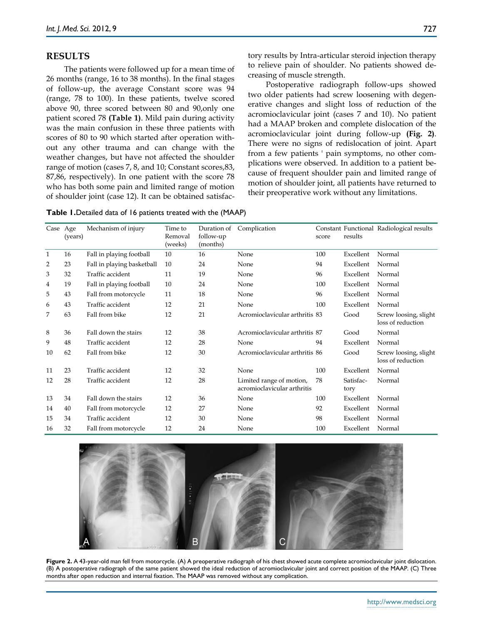# **RESULTS**

The patients were followed up for a mean time of 26 months (range, 16 to 38 months). In the final stages of follow-up, the average Constant score was 94 (range, 78 to 100). In these patients, twelve scored above 90, three scored between 80 and 90,only one patient scored 78 **(Table 1)**. Mild pain during activity was the main confusion in these three patients with scores of 80 to 90 which started after operation without any other trauma and can change with the weather changes, but have not affected the shoulder range of motion (cases 7, 8, and 10; Constant scores,83, 87,86, respectively). In one patient with the score 78 who has both some pain and limited range of motion of shoulder joint (case 12). It can be obtained satisfactory results by Intra-articular steroid injection therapy to relieve pain of shoulder. No patients showed decreasing of muscle strength.

Postoperative radiograph follow-ups showed two older patients had screw loosening with degenerative changes and slight loss of reduction of the acromioclavicular joint (cases 7 and 10). No patient had a MAAP broken and complete dislocation of the acromioclavicular joint during follow-up **(Fig. 2)**. There were no signs of redislocation of joint. Apart from a few patients ' pain symptoms, no other complications were observed. In addition to a patient because of frequent shoulder pain and limited range of motion of shoulder joint, all patients have returned to their preoperative work without any limitations.

|  | Table I. Detailed data of 16 patients treated with the (MAAP) |  |  |  |  |  |  |  |  |
|--|---------------------------------------------------------------|--|--|--|--|--|--|--|--|
|--|---------------------------------------------------------------|--|--|--|--|--|--|--|--|

| Case Age       | (years) | Mechanism of injury        | Time to<br>Removal<br>(weeks) | Duration of<br>follow-up<br>(months) | Complication                                            | score | results           | Constant Functional Radiological results   |
|----------------|---------|----------------------------|-------------------------------|--------------------------------------|---------------------------------------------------------|-------|-------------------|--------------------------------------------|
| $\mathbf{1}$   | 16      | Fall in playing football   | 10                            | 16                                   | None                                                    | 100   | Excellent         | Normal                                     |
| $\overline{2}$ | 23      | Fall in playing basketball | 10                            | 24                                   | None                                                    | 94    | Excellent         | Normal                                     |
| 3              | 32      | Traffic accident           | 11                            | 19                                   | None                                                    | 96    | Excellent         | Normal                                     |
| 4              | 19      | Fall in playing football   | 10                            | 24                                   | None                                                    | 100   | Excellent         | Normal                                     |
| 5              | 43      | Fall from motorcycle       | 11                            | 18                                   | None                                                    | 96    | Excellent         | Normal                                     |
| 6              | 43      | Traffic accident           | 12                            | 21                                   | None                                                    | 100   | Excellent         | Normal                                     |
| 7              | 63      | Fall from bike             | 12                            | 21                                   | Acromioclavicular arthritis 83                          |       | Good              | Screw loosing, slight<br>loss of reduction |
| 8              | 36      | Fall down the stairs       | 12                            | 38                                   | Acromioclavicular arthritis 87                          |       | Good              | Normal                                     |
| 9              | 48      | Traffic accident           | 12                            | 28                                   | None                                                    | 94    | Excellent         | Normal                                     |
| 10             | 62      | Fall from bike             | 12                            | 30                                   | Acromioclavicular arthritis 86                          |       | Good              | Screw loosing, slight<br>loss of reduction |
| 11             | 23      | Traffic accident           | 12                            | 32                                   | None                                                    | 100   | Excellent         | Normal                                     |
| 12             | 28      | Traffic accident           | 12                            | 28                                   | Limited range of motion,<br>acromioclavicular arthritis | 78    | Satisfac-<br>tory | Normal                                     |
| 13             | 34      | Fall down the stairs       | 12                            | 36                                   | None                                                    | 100   | Excellent         | Normal                                     |
| 14             | 40      | Fall from motorcycle       | 12                            | 27                                   | None                                                    | 92    | Excellent         | Normal                                     |
| 15             | 34      | Traffic accident           | 12                            | 30                                   | None                                                    | 98    | Excellent         | Normal                                     |
| 16             | 32      | Fall from motorcycle       | 12                            | 24                                   | None                                                    | 100   | Excellent         | Normal                                     |



**Figure 2.** A 43-year-old man fell from motorcycle. (A) A preoperative radiograph of his chest showed acute complete acromioclavicular joint dislocation. (B) A postoperative radiograph of the same patient showed the ideal reduction of acromioclavicular joint and correct position of the MAAP. (C) Three months after open reduction and internal fixation. The MAAP was removed without any complication.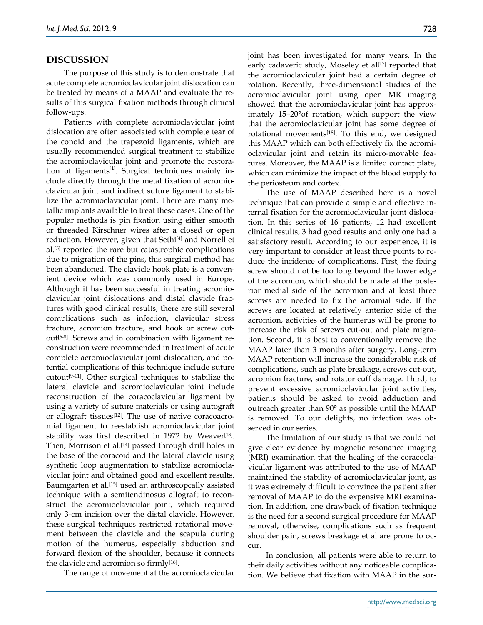#### **DISCUSSION**

The purpose of this study is to demonstrate that acute complete acromioclavicular joint dislocation can be treated by means of a MAAP and evaluate the results of this surgical fixation methods through clinical follow-ups.

Patients with complete acromioclavicular joint dislocation are often associated with complete tear of the conoid and the trapezoid ligaments, which are usually recommended surgical treatment to stabilize the acromioclavicular joint and promote the [restora](dict://key.0895DFE8DB67F9409DB285590D870EDD/restoration)[tion](dict://key.0895DFE8DB67F9409DB285590D870EDD/restoration) of ligaments<sup>[1]</sup>. Surgical techniques mainly include directly through the metal fixation of acromioclavicular joint and indirect suture ligament to stabilize the acromioclavicular joint. There are many metallic implants available to treat these cases. One of the popular methods is pin fixation using either smooth or threaded Kirschner wires after a closed or open reduction. However, given that Sethi<sup>[4]</sup> and Norrell et al. [5] reported the rare but catastrophic complications due to migration of the pins, this surgical method has been abandoned. The clavicle hook plate is a convenient device which was commonly used in Europe. Although it has been successful in treating acromioclavicular joint dislocations and distal clavicle fractures with good clinical results, there are still several complications such as infection, clavicular stress fracture, acromion fracture, and hook or screw cutout[6-8] . Screws and in combination with ligament reconstruction were recommended in treatment of acute complete acromioclavicular joint dislocation, and potential complications of this technique include suture cutout [9-11] . Other surgical techniques to stabilize the lateral clavicle and acromioclavicular joint include reconstruction of the coracoclavicular ligament by using a variety of suture materials or using autograft or allograft tissues<sup>[12]</sup>. The use of native coracoacromial ligament to reestablish acromioclavicular joint stability was first described in 1972 by Weaver[13] . Then, Morrison et al. [14] passed through drill holes in the base of the coracoid and the lateral clavicle using synthetic loop augmentation to stabilize acromioclavicular joint and obtained good and excellent results. Baumgarten et al. [15] used an arthroscopcally assisted technique with a semitendinosus allograft to reconstruct the acromioclavicular joint, which required only 3-cm incision over the distal clavicle. However, these surgical techniques restricted rotational movement between the clavicle and the scapula during motion of the humerus, especially abduction and forward flexion of the shoulder, because it connects the clavicle and acromion so firmly<sup>[16]</sup>.

The range of movement at the acromioclavicular

joint has been investigated for many years. In the early cadaveric study, Moseley et al<sup>[17]</sup> reported that the acromioclavicular joint had a certain degree of rotation. Recently, three-dimensional studies of the acromioclavicular joint using open MR imaging showed that the acromioclavicular joint has approximately 15–20°of rotation, which support the view that the acromioclavicular joint has some degree of rotational movements<sup>[18]</sup>. To this end, we designed this MAAP which can both effectively fix the acromioclavicular joint and retain its micro-movable features. Moreover, the MAAP is a limited contact plate, which can minimize the impact of the blood supply to the periosteum and cortex.

The use of MAAP described here is a novel technique that can provide a simple and effective internal fixation for the acromioclavicular joint dislocation. In this series of 16 patients, 12 had excellent clinical results, 3 had good results and only one had a satisfactory result. According to our experience, it is very important to consider at least three points to reduce the incidence of complications. First, the fixing screw should not be too long beyond the lower edge of the acromion, which should be made at the posterior medial side of the acromion and at least three screws are needed to fix the acromial side. If the screws are located at relatively anterior side of the acromion, activities of the humerus will be prone to increase the risk of screws cut-out and plate migration. Second, it is best to conventionally remove the MAAP later than 3 months after surgery. Long-term MAAP retention will increase the considerable risk of complications, such as plate breakage, screws cut-out, acromion fracture, and rotator cuff damage. Third, to prevent excessive acromioclavicular joint activities, patients should be asked to avoid adduction and outreach greater than 90° as possible until the MAAP is removed. To our delights, no infection was observed in our series.

The limitation of our study is that we could not give clear evidence by magnetic resonance imaging (MRI) examination that the healing of the coracoclavicular ligament was attributed to the use of MAAP maintained the stability of acromioclavicular joint, as it was extremely difficult to convince the patient after removal of MAAP to do the expensive MRI examination. In addition, one drawback of fixation technique is the need for a second surgical procedure for MAAP removal, otherwise, complications such as frequent shoulder pain, screws breakage et al are prone to occur.

In conclusion, all patients were able to return to their daily activities without any noticeable complication. We believe that fixation with MAAP in the sur-